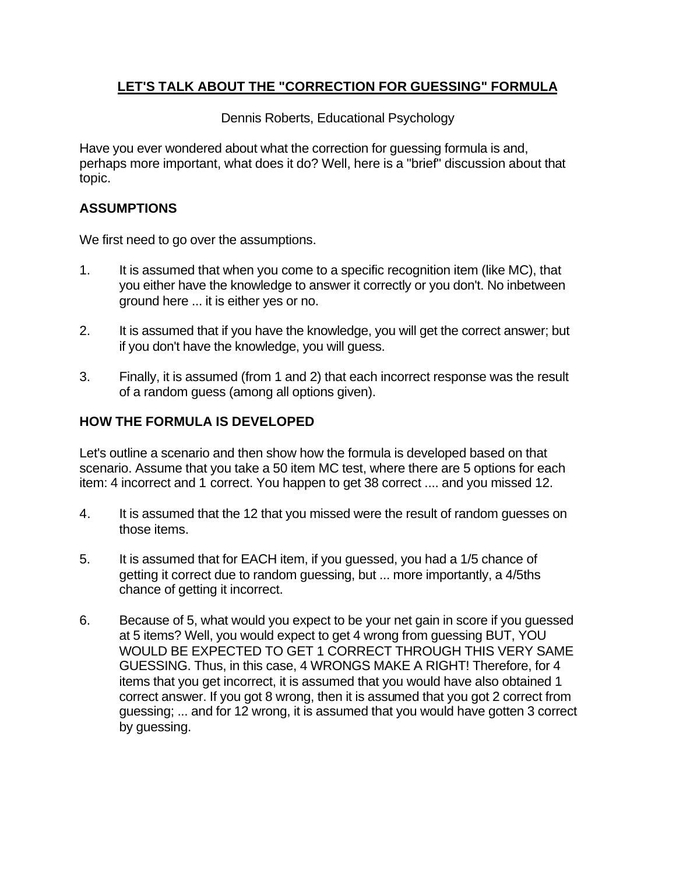# **LET'S TALK ABOUT THE "CORRECTION FOR GUESSING" FORMULA**

Dennis Roberts, Educational Psychology

Have you ever wondered about what the correction for guessing formula is and, perhaps more important, what does it do? Well, here is a "brief" discussion about that topic.

## **ASSUMPTIONS**

We first need to go over the assumptions.

- 1. It is assumed that when you come to a specific recognition item (like MC), that you either have the knowledge to answer it correctly or you don't. No inbetween ground here ... it is either yes or no.
- 2. It is assumed that if you have the knowledge, you will get the correct answer; but if you don't have the knowledge, you will guess.
- 3. Finally, it is assumed (from 1 and 2) that each incorrect response was the result of a random guess (among all options given).

## **HOW THE FORMULA IS DEVELOPED**

Let's outline a scenario and then show how the formula is developed based on that scenario. Assume that you take a 50 item MC test, where there are 5 options for each item: 4 incorrect and 1 correct. You happen to get 38 correct .... and you missed 12.

- 4. It is assumed that the 12 that you missed were the result of random guesses on those items.
- 5. It is assumed that for EACH item, if you guessed, you had a 1/5 chance of getting it correct due to random guessing, but ... more importantly, a 4/5ths chance of getting it incorrect.
- 6. Because of 5, what would you expect to be your net gain in score if you guessed at 5 items? Well, you would expect to get 4 wrong from guessing BUT, YOU WOULD BE EXPECTED TO GET 1 CORRECT THROUGH THIS VERY SAME GUESSING. Thus, in this case, 4 WRONGS MAKE A RIGHT! Therefore, for 4 items that you get incorrect, it is assumed that you would have also obtained 1 correct answer. If you got 8 wrong, then it is assumed that you got 2 correct from guessing; ... and for 12 wrong, it is assumed that you would have gotten 3 correct by guessing.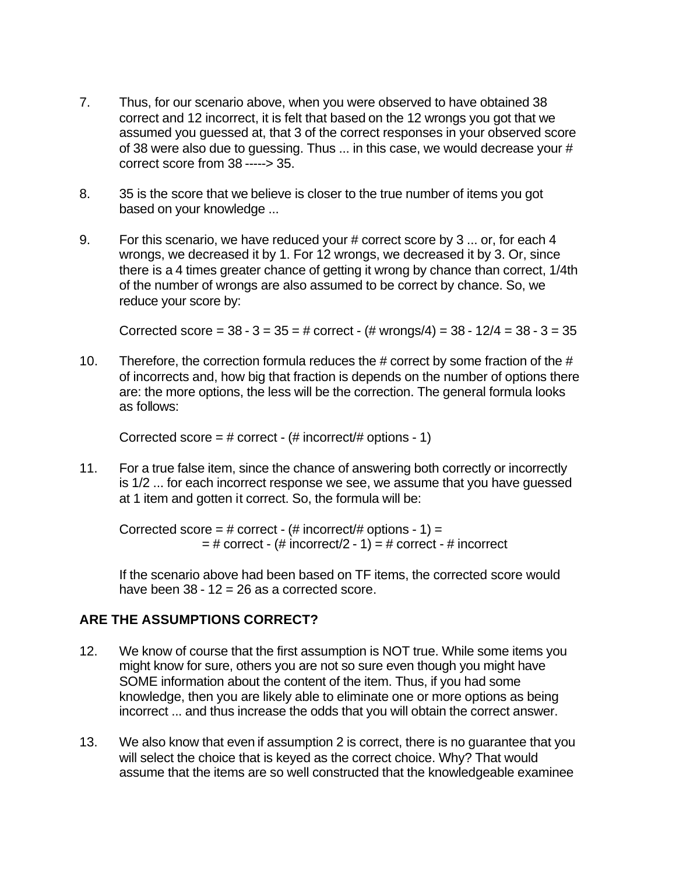- 7. Thus, for our scenario above, when you were observed to have obtained 38 correct and 12 incorrect, it is felt that based on the 12 wrongs you got that we assumed you guessed at, that 3 of the correct responses in your observed score of 38 were also due to guessing. Thus  $\dots$  in this case, we would decrease your  $\#$ correct score from 38 -----> 35.
- 8. 35 is the score that we believe is closer to the true number of items you got based on your knowledge ...
- 9. For this scenario, we have reduced your # correct score by 3 ... or, for each 4 wrongs, we decreased it by 1. For 12 wrongs, we decreased it by 3. Or, since there is a 4 times greater chance of getting it wrong by chance than correct, 1/4th of the number of wrongs are also assumed to be correct by chance. So, we reduce your score by:

Corrected score =  $38 - 3 = 35 = #$  correct -  $#$  wrongs/4) =  $38 - 12/4 = 38 - 3 = 35$ 

10. Therefore, the correction formula reduces the # correct by some fraction of the # of incorrects and, how big that fraction is depends on the number of options there are: the more options, the less will be the correction. The general formula looks as follows:

Corrected score =  $\#$  correct - ( $\#$  incorrect/ $\#$  options - 1)

11. For a true false item, since the chance of answering both correctly or incorrectly is 1/2 ... for each incorrect response we see, we assume that you have guessed at 1 item and gotten it correct. So, the formula will be:

Corrected score = # correct -  $($ # incorrect $/$ # options - 1) =  $=$  # correct - (# incorrect/2 - 1) = # correct - # incorrect

If the scenario above had been based on TF items, the corrected score would have been  $38 - 12 = 26$  as a corrected score.

### **ARE THE ASSUMPTIONS CORRECT?**

- 12. We know of course that the first assumption is NOT true. While some items you might know for sure, others you are not so sure even though you might have SOME information about the content of the item. Thus, if you had some knowledge, then you are likely able to eliminate one or more options as being incorrect ... and thus increase the odds that you will obtain the correct answer.
- 13. We also know that even if assumption 2 is correct, there is no guarantee that you will select the choice that is keyed as the correct choice. Why? That would assume that the items are so well constructed that the knowledgeable examinee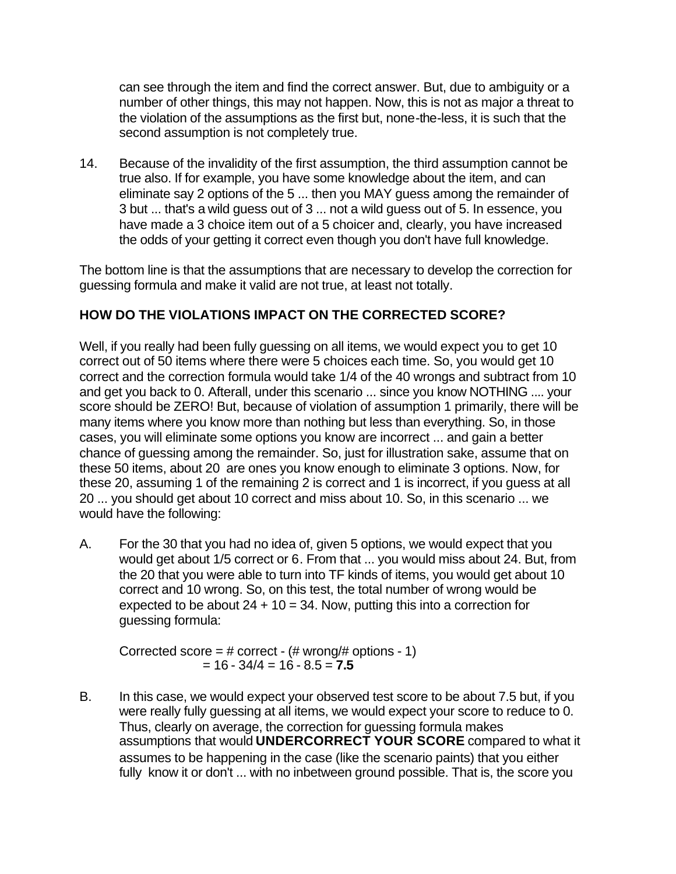can see through the item and find the correct answer. But, due to ambiguity or a number of other things, this may not happen. Now, this is not as major a threat to the violation of the assumptions as the first but, none-the-less, it is such that the second assumption is not completely true.

14. Because of the invalidity of the first assumption, the third assumption cannot be true also. If for example, you have some knowledge about the item, and can eliminate say 2 options of the 5 ... then you MAY guess among the remainder of 3 but ... that's a wild guess out of 3 ... not a wild guess out of 5. In essence, you have made a 3 choice item out of a 5 choicer and, clearly, you have increased the odds of your getting it correct even though you don't have full knowledge.

The bottom line is that the assumptions that are necessary to develop the correction for guessing formula and make it valid are not true, at least not totally.

## **HOW DO THE VIOLATIONS IMPACT ON THE CORRECTED SCORE?**

Well, if you really had been fully guessing on all items, we would expect you to get 10 correct out of 50 items where there were 5 choices each time. So, you would get 10 correct and the correction formula would take 1/4 of the 40 wrongs and subtract from 10 and get you back to 0. Afterall, under this scenario ... since you know NOTHING .... your score should be ZERO! But, because of violation of assumption 1 primarily, there will be many items where you know more than nothing but less than everything. So, in those cases, you will eliminate some options you know are incorrect ... and gain a better chance of guessing among the remainder. So, just for illustration sake, assume that on these 50 items, about 20 are ones you know enough to eliminate 3 options. Now, for these 20, assuming 1 of the remaining 2 is correct and 1 is incorrect, if you guess at all 20 ... you should get about 10 correct and miss about 10. So, in this scenario ... we would have the following:

A. For the 30 that you had no idea of, given 5 options, we would expect that you would get about 1/5 correct or 6. From that ... you would miss about 24. But, from the 20 that you were able to turn into TF kinds of items, you would get about 10 correct and 10 wrong. So, on this test, the total number of wrong would be expected to be about  $24 + 10 = 34$ . Now, putting this into a correction for guessing formula:

Corrected score =  $\#$  correct - ( $\#$  wrong/ $\#$  options - 1)  $= 16 - 34/4 = 16 - 8.5 = 7.5$ 

B. In this case, we would expect your observed test score to be about 7.5 but, if you were really fully guessing at all items, we would expect your score to reduce to 0. Thus, clearly on average, the correction for guessing formula makes assumptions that would **UNDERCORRECT YOUR SCORE** compared to what it assumes to be happening in the case (like the scenario paints) that you either fully know it or don't ... with no inbetween ground possible. That is, the score you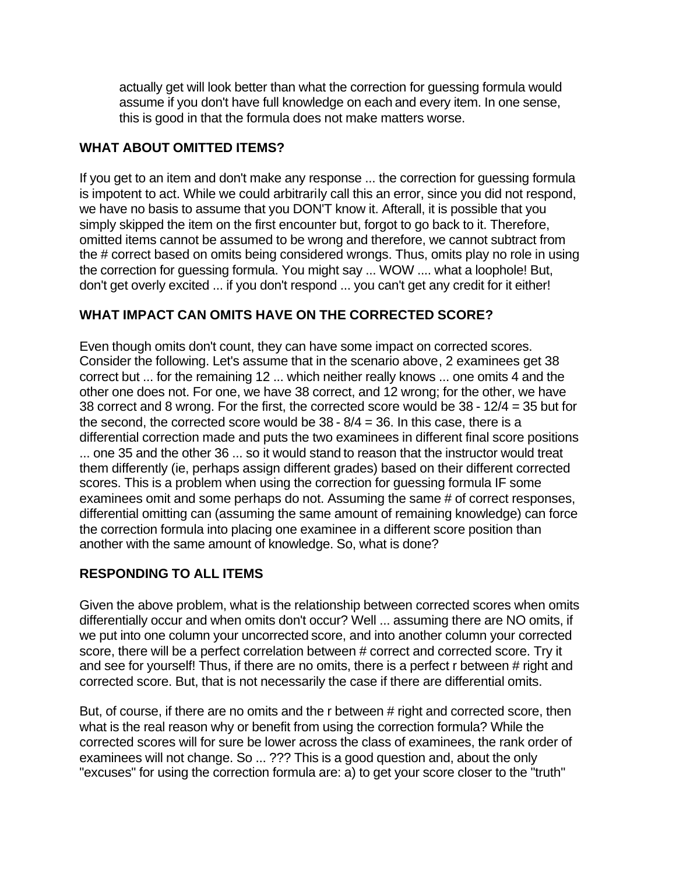actually get will look better than what the correction for guessing formula would assume if you don't have full knowledge on each and every item. In one sense, this is good in that the formula does not make matters worse.

## **WHAT ABOUT OMITTED ITEMS?**

If you get to an item and don't make any response ... the correction for guessing formula is impotent to act. While we could arbitrarily call this an error, since you did not respond, we have no basis to assume that you DON'T know it. Afterall, it is possible that you simply skipped the item on the first encounter but, forgot to go back to it. Therefore, omitted items cannot be assumed to be wrong and therefore, we cannot subtract from the # correct based on omits being considered wrongs. Thus, omits play no role in using the correction for guessing formula. You might say ... WOW .... what a loophole! But, don't get overly excited ... if you don't respond ... you can't get any credit for it either!

## **WHAT IMPACT CAN OMITS HAVE ON THE CORRECTED SCORE?**

Even though omits don't count, they can have some impact on corrected scores. Consider the following. Let's assume that in the scenario above, 2 examinees get 38 correct but ... for the remaining 12 ... which neither really knows ... one omits 4 and the other one does not. For one, we have 38 correct, and 12 wrong; for the other, we have 38 correct and 8 wrong. For the first, the corrected score would be 38 - 12/4 = 35 but for the second, the corrected score would be  $38 - 8/4 = 36$ . In this case, there is a differential correction made and puts the two examinees in different final score positions ... one 35 and the other 36 ... so it would stand to reason that the instructor would treat them differently (ie, perhaps assign different grades) based on their different corrected scores. This is a problem when using the correction for guessing formula IF some examinees omit and some perhaps do not. Assuming the same # of correct responses, differential omitting can (assuming the same amount of remaining knowledge) can force the correction formula into placing one examinee in a different score position than another with the same amount of knowledge. So, what is done?

# **RESPONDING TO ALL ITEMS**

Given the above problem, what is the relationship between corrected scores when omits differentially occur and when omits don't occur? Well ... assuming there are NO omits, if we put into one column your uncorrected score, and into another column your corrected score, there will be a perfect correlation between # correct and corrected score. Try it and see for yourself! Thus, if there are no omits, there is a perfect r between # right and corrected score. But, that is not necessarily the case if there are differential omits.

But, of course, if there are no omits and the r between # right and corrected score, then what is the real reason why or benefit from using the correction formula? While the corrected scores will for sure be lower across the class of examinees, the rank order of examinees will not change. So ... ??? This is a good question and, about the only "excuses" for using the correction formula are: a) to get your score closer to the "truth"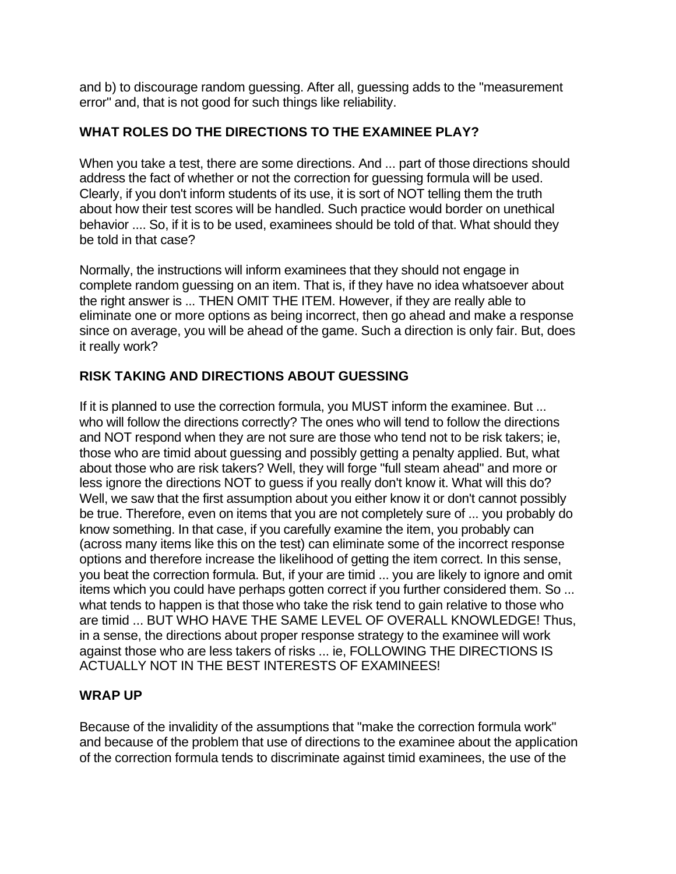and b) to discourage random guessing. After all, guessing adds to the "measurement error" and, that is not good for such things like reliability.

## **WHAT ROLES DO THE DIRECTIONS TO THE EXAMINEE PLAY?**

When you take a test, there are some directions. And ... part of those directions should address the fact of whether or not the correction for guessing formula will be used. Clearly, if you don't inform students of its use, it is sort of NOT telling them the truth about how their test scores will be handled. Such practice would border on unethical behavior .... So, if it is to be used, examinees should be told of that. What should they be told in that case?

Normally, the instructions will inform examinees that they should not engage in complete random guessing on an item. That is, if they have no idea whatsoever about the right answer is ... THEN OMIT THE ITEM. However, if they are really able to eliminate one or more options as being incorrect, then go ahead and make a response since on average, you will be ahead of the game. Such a direction is only fair. But, does it really work?

## **RISK TAKING AND DIRECTIONS ABOUT GUESSING**

If it is planned to use the correction formula, you MUST inform the examinee. But ... who will follow the directions correctly? The ones who will tend to follow the directions and NOT respond when they are not sure are those who tend not to be risk takers; ie, those who are timid about guessing and possibly getting a penalty applied. But, what about those who are risk takers? Well, they will forge "full steam ahead" and more or less ignore the directions NOT to guess if you really don't know it. What will this do? Well, we saw that the first assumption about you either know it or don't cannot possibly be true. Therefore, even on items that you are not completely sure of ... you probably do know something. In that case, if you carefully examine the item, you probably can (across many items like this on the test) can eliminate some of the incorrect response options and therefore increase the likelihood of getting the item correct. In this sense, you beat the correction formula. But, if your are timid ... you are likely to ignore and omit items which you could have perhaps gotten correct if you further considered them. So ... what tends to happen is that those who take the risk tend to gain relative to those who are timid ... BUT WHO HAVE THE SAME LEVEL OF OVERALL KNOWLEDGE! Thus, in a sense, the directions about proper response strategy to the examinee will work against those who are less takers of risks ... ie, FOLLOWING THE DIRECTIONS IS ACTUALLY NOT IN THE BEST INTERESTS OF EXAMINEES!

### **WRAP UP**

Because of the invalidity of the assumptions that "make the correction formula work" and because of the problem that use of directions to the examinee about the application of the correction formula tends to discriminate against timid examinees, the use of the